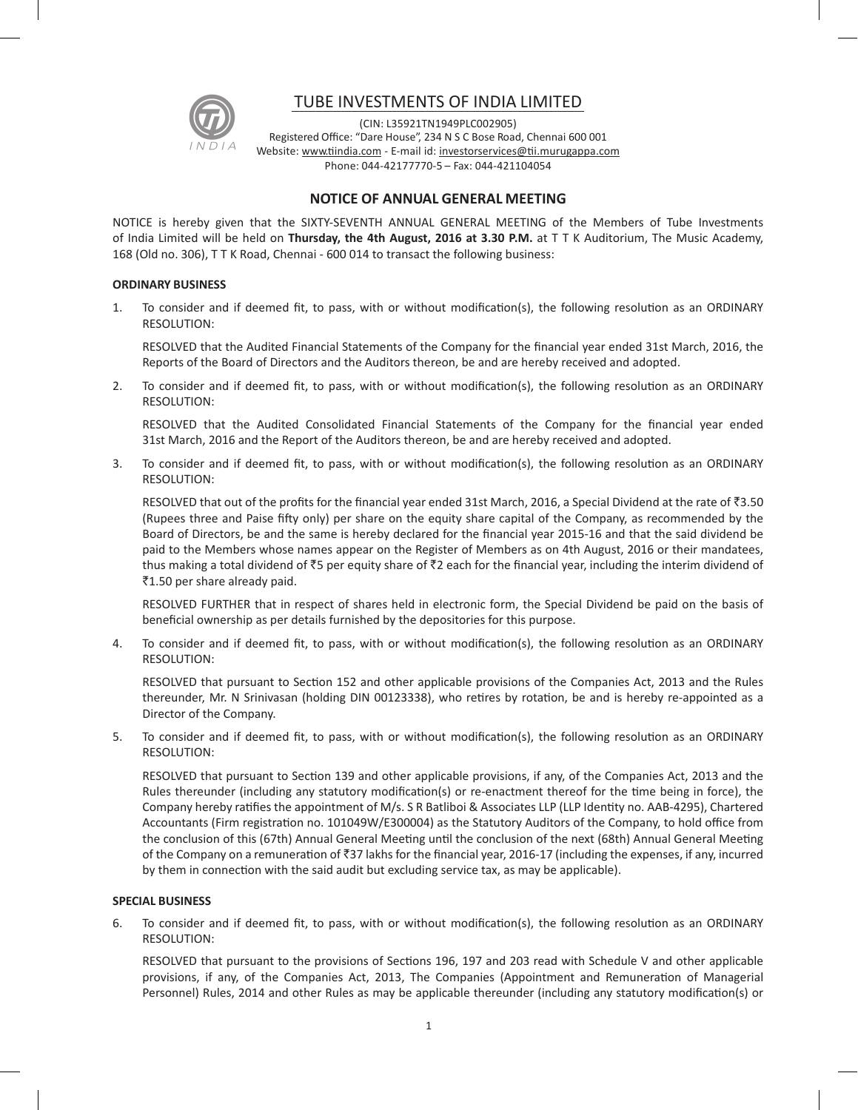

# TUBE INVESTMENTS OF INDIA LIMITED

(CIN: L35921TN1949PLC002905) Registered Office: "Dare House", 234 N S C Bose Road, Chennai 600 001 Website: www.tiindia.com - E-mail id: investorservices@tii.murugappa.com Phone: 044-42177770-5 – Fax: 044-421104054

## **NOTICE OF ANNUAL GENERAL MEETING**

NOTICE is hereby given that the SIXTY-SEVENTH ANNUAL GENERAL MEETING of the Members of Tube Investments of India Limited will be held on **Thursday, the 4th August, 2016 at 3.30 P.M.** at T T K Auditorium, The Music Academy, 168 (Old no. 306), T T K Road, Chennai - 600 014 to transact the following business:

### **ORDINARY BUSINESS**

1. To consider and if deemed fit, to pass, with or without modification(s), the following resolution as an ORDINARY RESOLUTION:

RESOLVED that the Audited Financial Statements of the Company for the financial year ended 31st March, 2016, the Reports of the Board of Directors and the Auditors thereon, be and are hereby received and adopted.

2. To consider and if deemed fit, to pass, with or without modification(s), the following resolution as an ORDINARY RESOLUTION:

RESOLVED that the Audited Consolidated Financial Statements of the Company for the financial year ended 31st March, 2016 and the Report of the Auditors thereon, be and are hereby received and adopted.

3. To consider and if deemed fit, to pass, with or without modification(s), the following resolution as an ORDINARY RESOLUTION:

RESOLVED that out of the profits for the financial year ended 31st March, 2016, a Special Dividend at the rate of  $\bar{z}3.50$ (Rupees three and Paise fifty only) per share on the equity share capital of the Company, as recommended by the Board of Directors, be and the same is hereby declared for the financial year 2015-16 and that the said dividend be paid to the Members whose names appear on the Register of Members as on 4th August, 2016 or their mandatees, thus making a total dividend of  $\bar{z}5$  per equity share of  $\bar{z}2$  each for the financial year, including the interim dividend of ₹1.50 per share already paid.

RESOLVED FURTHER that in respect of shares held in electronic form, the Special Dividend be paid on the basis of beneficial ownership as per details furnished by the depositories for this purpose.

4. To consider and if deemed fit, to pass, with or without modification(s), the following resolution as an ORDINARY RESOLUTION:

RESOLVED that pursuant to Section 152 and other applicable provisions of the Companies Act, 2013 and the Rules thereunder, Mr. N Srinivasan (holding DIN 00123338), who retires by rotation, be and is hereby re-appointed as a Director of the Company.

5. To consider and if deemed fit, to pass, with or without modification(s), the following resolution as an ORDINARY RESOLUTION:

RESOLVED that pursuant to Section 139 and other applicable provisions, if any, of the Companies Act, 2013 and the Rules thereunder (including any statutory modification(s) or re-enactment thereof for the time being in force), the Company hereby ratifies the appointment of M/s. S R Batliboi & Associates LLP (LLP Identity no. AAB-4295), Chartered Accountants (Firm registration no. 101049W/E300004) as the Statutory Auditors of the Company, to hold office from the conclusion of this (67th) Annual General Meeting until the conclusion of the next (68th) Annual General Meeting of the Company on a remuneration of  $\overline{3}37$  lakhs for the financial year, 2016-17 (including the expenses, if any, incurred by them in connection with the said audit but excluding service tax, as may be applicable).

#### **SPECIAL BUSINESS**

6. To consider and if deemed fit, to pass, with or without modification(s), the following resolution as an ORDINARY RESOLUTION:

RESOLVED that pursuant to the provisions of Sections 196, 197 and 203 read with Schedule V and other applicable provisions, if any, of the Companies Act, 2013, The Companies (Appointment and Remuneration of Managerial Personnel) Rules, 2014 and other Rules as may be applicable thereunder (including any statutory modification(s) or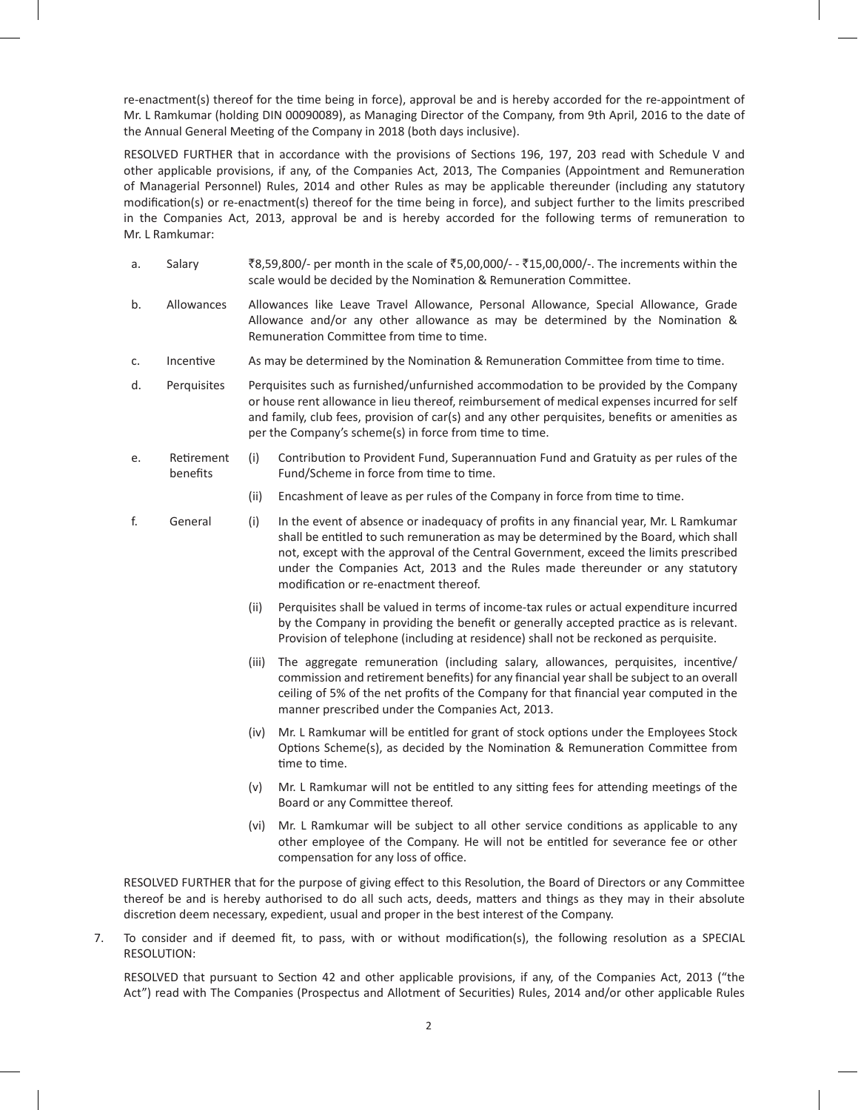re-enactment(s) thereof for the time being in force), approval be and is hereby accorded for the re-appointment of Mr. L Ramkumar (holding DIN 00090089), as Managing Director of the Company, from 9th April, 2016 to the date of the Annual General Meeting of the Company in 2018 (both days inclusive).

RESOLVED FURTHER that in accordance with the provisions of Sections 196, 197, 203 read with Schedule V and other applicable provisions, if any, of the Companies Act, 2013, The Companies (Appointment and Remuneration of Managerial Personnel) Rules, 2014 and other Rules as may be applicable thereunder (including any statutory modification(s) or re-enactment(s) thereof for the time being in force), and subject further to the limits prescribed in the Companies Act, 2013, approval be and is hereby accorded for the following terms of remuneration to Mr. L Ramkumar:

- a. Salary  $\bar{z}_{8,59,800/-}$  per month in the scale of  $\bar{z}_{5,00,000/-}$   $\bar{z}_{15,00,000/-}$ . The increments within the scale would be decided by the Nomination & Remuneration Committee.
- b. Allowances Allowances like Leave Travel Allowance, Personal Allowance, Special Allowance, Grade Allowance and/or any other allowance as may be determined by the Nomination & Remuneration Committee from time to time.
- c. Incentive As may be determined by the Nomination & Remuneration Committee from time to time.
- d. Perquisites Perquisites such as furnished/unfurnished accommodation to be provided by the Company or house rent allowance in lieu thereof, reimbursement of medical expenses incurred for self and family, club fees, provision of car(s) and any other perquisites, benefits or amenities as per the Company's scheme(s) in force from time to time.
- e. Retirement benefits (i) Contribution to Provident Fund, Superannuation Fund and Gratuity as per rules of the Fund/Scheme in force from time to time.
	- (ii) Encashment of leave as per rules of the Company in force from time to time.
- f. General (i) In the event of absence or inadequacy of profits in any financial year, Mr. L Ramkumar shall be entitled to such remuneration as may be determined by the Board, which shall not, except with the approval of the Central Government, exceed the limits prescribed under the Companies Act, 2013 and the Rules made thereunder or any statutory modification or re-enactment thereof.
	- (ii) Perquisites shall be valued in terms of income-tax rules or actual expenditure incurred by the Company in providing the benefit or generally accepted practice as is relevant. Provision of telephone (including at residence) shall not be reckoned as perquisite.
	- (iii) The aggregate remuneration (including salary, allowances, perquisites, incentive/ commission and retirement benefits) for any financial year shall be subject to an overall ceiling of 5% of the net profits of the Company for that financial year computed in the manner prescribed under the Companies Act, 2013.
	- (iv) Mr. L Ramkumar will be entitled for grant of stock options under the Employees Stock Options Scheme(s), as decided by the Nomination & Remuneration Committee from time to time.
	- (v) Mr. L Ramkumar will not be entitled to any sitting fees for attending meetings of the Board or any Committee thereof.
	- (vi) Mr. L Ramkumar will be subject to all other service conditions as applicable to any other employee of the Company. He will not be entitled for severance fee or other compensation for any loss of office.

RESOLVED FURTHER that for the purpose of giving effect to this Resolution, the Board of Directors or any Committee thereof be and is hereby authorised to do all such acts, deeds, matters and things as they may in their absolute discretion deem necessary, expedient, usual and proper in the best interest of the Company.

7. To consider and if deemed fit, to pass, with or without modification(s), the following resolution as a SPECIAL RESOLUTION:

RESOLVED that pursuant to Section 42 and other applicable provisions, if any, of the Companies Act, 2013 ("the Act") read with The Companies (Prospectus and Allotment of Securities) Rules, 2014 and/or other applicable Rules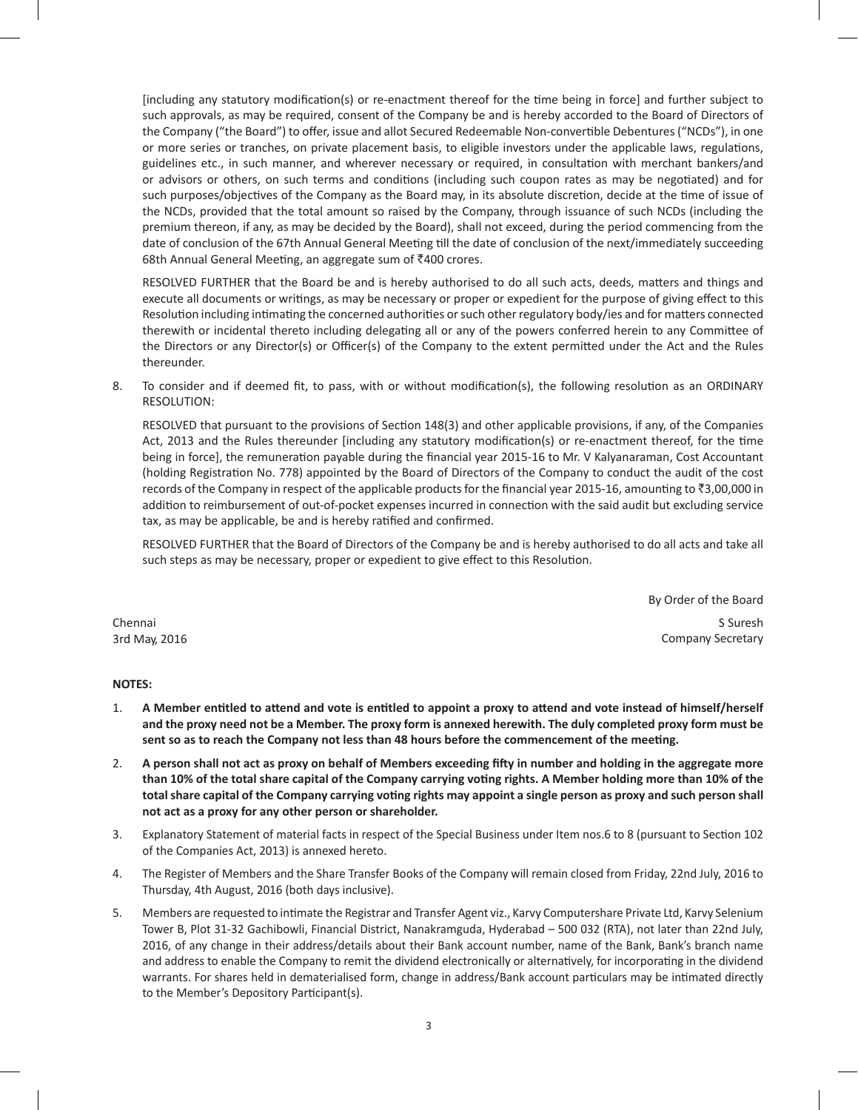[including any statutory modification(s) or re-enactment thereof for the time being in force] and further subject to such approvals, as may be required, consent of the Company be and is hereby accorded to the Board of Directors of the Company ("the Board") to offer, issue and allot Secured Redeemable Non-convertible Debentures ("NCDs"), in one or more series or tranches, on private placement basis, to eligible investors under the applicable laws, regulations, guidelines etc., in such manner, and wherever necessary or required, in consultation with merchant bankers/and or advisors or others, on such terms and conditions (including such coupon rates as may be negotiated) and for such purposes/objectives of the Company as the Board may, in its absolute discretion, decide at the time of issue of the NCDs, provided that the total amount so raised by the Company, through issuance of such NCDs (including the premium thereon, if any, as may be decided by the Board), shall not exceed, during the period commencing from the date of conclusion of the 67th Annual General Meeting till the date of conclusion of the next/immediately succeeding 68th Annual General Meeting, an aggregate sum of  $\bar{z}$ 400 crores.

RESOLVED FURTHER that the Board be and is hereby authorised to do all such acts, deeds, matters and things and execute all documents or writings, as may be necessary or proper or expedient for the purpose of giving effect to this Resolution including intimating the concerned authorities or such other regulatory body/ies and for matters connected therewith or incidental thereto including delegating all or any of the powers conferred herein to any Committee of the Directors or any Director(s) or Officer(s) of the Company to the extent permitted under the Act and the Rules thereunder.

8. To consider and if deemed fit, to pass, with or without modification(s), the following resolution as an ORDINARY RESOLUTION:

RESOLVED that pursuant to the provisions of Section 148(3) and other applicable provisions, if any, of the Companies Act, 2013 and the Rules thereunder [including any statutory modification(s) or re-enactment thereof, for the time being in force], the remuneration payable during the financial year 2015-16 to Mr. V Kalyanaraman, Cost Accountant (holding Registration No. 778) appointed by the Board of Directors of the Company to conduct the audit of the cost records of the Company in respect of the applicable products for the financial year 2015-16, amounting to  $\bar{\tau}$ 3,00,000 in addition to reimbursement of out-of-pocket expenses incurred in connection with the said audit but excluding service tax, as may be applicable, be and is hereby ratified and confirmed.

RESOLVED FURTHER that the Board of Directors of the Company be and is hereby authorised to do all acts and take all such steps as may be necessary, proper or expedient to give effect to this Resolution.

By Order of the Board Chennai S Suresh 3rd May, 2016 Company Secretary

### **NOTES:**

- 1. A Member entitled to attend and vote is entitled to appoint a proxy to attend and vote instead of himself/herself and the proxy need not be a Member. The proxy form is annexed herewith. The duly completed proxy form must be **sent so as to reach the Company not less than 48 hours before the commencement of the meeting.**
- 2. A person shall not act as proxy on behalf of Members exceeding fifty in number and holding in the aggregate more than 10% of the total share capital of the Company carrying voting rights. A Member holding more than 10% of the total share capital of the Company carrying voting rights may appoint a single person as proxy and such person shall **not act as a proxy for any other person or shareholder.**
- 3. Explanatory Statement of material facts in respect of the Special Business under Item nos.6 to 8 (pursuant to Section 102 of the Companies Act, 2013) is annexed hereto.
- 4. The Register of Members and the Share Transfer Books of the Company will remain closed from Friday, 22nd July, 2016 to Thursday, 4th August, 2016 (both days inclusive).
- 5. Members are requested to intimate the Registrar and Transfer Agent viz., Karvy Computershare Private Ltd, Karvy Selenium Tower B, Plot 31-32 Gachibowli, Financial District, Nanakramguda, Hyderabad – 500 032 (RTA), not later than 22nd July, 2016, of any change in their address/details about their Bank account number, name of the Bank, Bank's branch name and address to enable the Company to remit the dividend electronically or alternatively, for incorporating in the dividend warrants. For shares held in dematerialised form, change in address/Bank account particulars may be intimated directly to the Member's Depository Participant(s).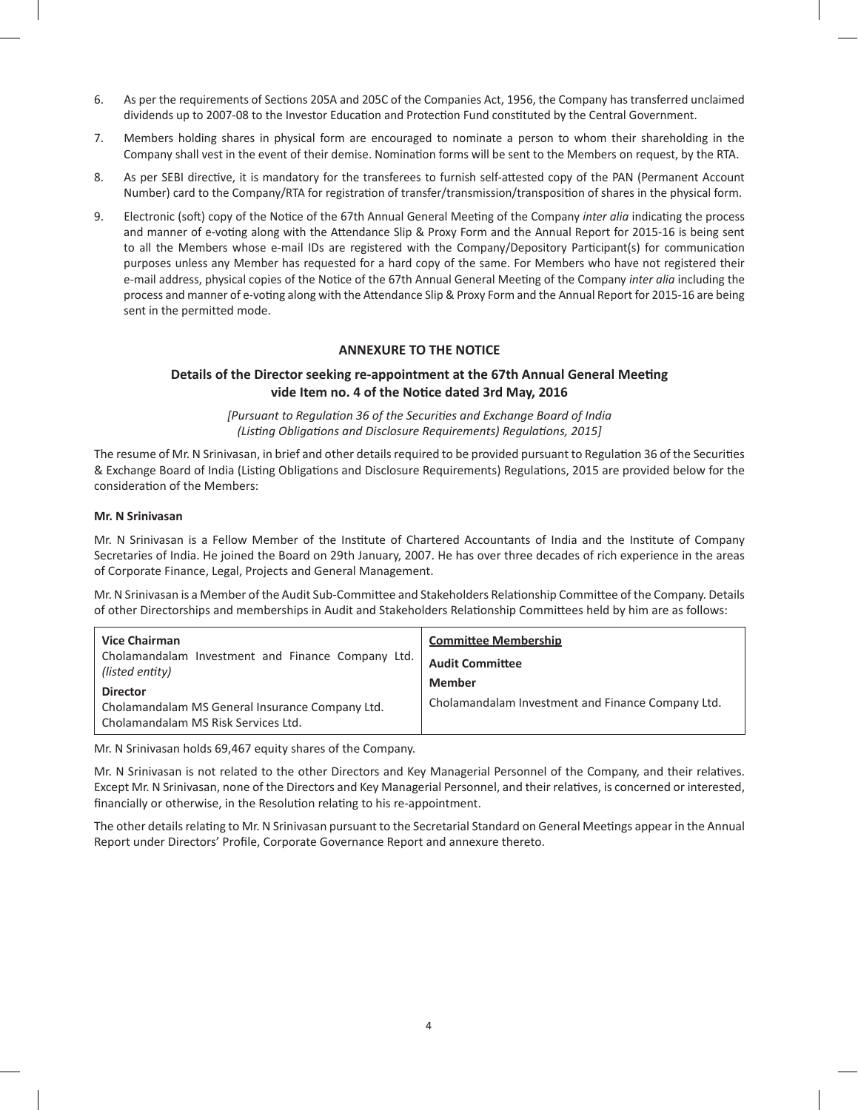- 6. As per the requirements of Sections 205A and 205C of the Companies Act, 1956, the Company has transferred unclaimed dividends up to 2007-08 to the Investor Education and Protection Fund constituted by the Central Government.
- 7. Members holding shares in physical form are encouraged to nominate a person to whom their shareholding in the Company shall vest in the event of their demise. Nomination forms will be sent to the Members on request, by the RTA.
- 8. As per SEBI directive, it is mandatory for the transferees to furnish self-attested copy of the PAN (Permanent Account Number) card to the Company/RTA for registration of transfer/transmission/transposition of shares in the physical form.
- 9. Electronic (soft) copy of the Notice of the 67th Annual General Meeting of the Company *inter alia* indicating the process and manner of e-voting along with the Attendance Slip & Proxy Form and the Annual Report for 2015-16 is being sent to all the Members whose e-mail IDs are registered with the Company/Depository Participant(s) for communication purposes unless any Member has requested for a hard copy of the same. For Members who have not registered their e-mail address, physical copies of the Notice of the 67th Annual General Meeting of the Company *inter alia* including the process and manner of e-voting along with the Attendance Slip & Proxy Form and the Annual Report for 2015-16 are being sent in the permitted mode.

## **ANNEXURE TO THE NOTICE**

## **Details of the Director seeking re-appointment at the 67th Annual General Meeting vide Item no. 4 of the Notice dated 3rd May, 2016**

*[Pursuant to Regulation 36 of the Securities and Exchange Board of India (Listing Obligations and Disclosure Requirements) Regulations, 2015]*

The resume of Mr. N Srinivasan, in brief and other details required to be provided pursuant to Regulation 36 of the Securities & Exchange Board of India (Listing Obligations and Disclosure Requirements) Regulations, 2015 are provided below for the consideration of the Members:

#### **Mr. N Srinivasan**

Mr. N Srinivasan is a Fellow Member of the Institute of Chartered Accountants of India and the Institute of Company Secretaries of India. He joined the Board on 29th January, 2007. He has over three decades of rich experience in the areas of Corporate Finance, Legal, Projects and General Management.

Mr. N Srinivasan is a Member of the Audit Sub-Committee and Stakeholders Relationship Committee of the Company. Details of other Directorships and memberships in Audit and Stakeholders Relationship Committees held by him are as follows:

| <b>Vice Chairman</b><br>Cholamandalam Investment and Finance Company Ltd.<br>(listed entity)<br><b>Director</b><br>Cholamandalam MS General Insurance Company Ltd.<br>Cholamandalam MS Risk Services Ltd. | <b>Committee Membership</b><br><b>Audit Committee</b><br><b>Member</b><br>Cholamandalam Investment and Finance Company Ltd. |
|-----------------------------------------------------------------------------------------------------------------------------------------------------------------------------------------------------------|-----------------------------------------------------------------------------------------------------------------------------|
|-----------------------------------------------------------------------------------------------------------------------------------------------------------------------------------------------------------|-----------------------------------------------------------------------------------------------------------------------------|

Mr. N Srinivasan holds 69,467 equity shares of the Company.

Mr. N Srinivasan is not related to the other Directors and Key Managerial Personnel of the Company, and their relatives. Except Mr. N Srinivasan, none of the Directors and Key Managerial Personnel, and their relatives, is concerned or interested, financially or otherwise, in the Resolution relating to his re-appointment.

The other details relating to Mr. N Srinivasan pursuant to the Secretarial Standard on General Meetings appear in the Annual Report under Directors' Profile, Corporate Governance Report and annexure thereto.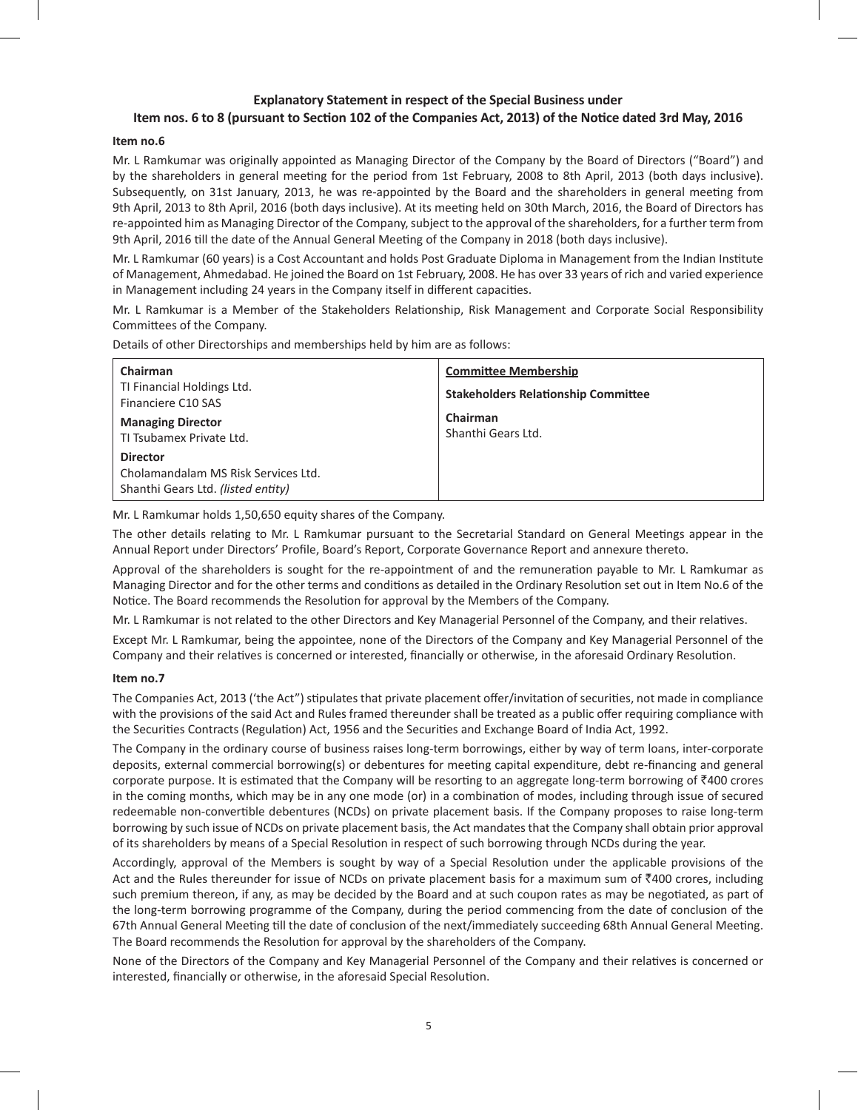## **Explanatory Statement in respect of the Special Business under** Item nos. 6 to 8 (pursuant to Section 102 of the Companies Act, 2013) of the Notice dated 3rd May, 2016

### **Item no.6**

Mr. L Ramkumar was originally appointed as Managing Director of the Company by the Board of Directors ("Board") and by the shareholders in general meeting for the period from 1st February, 2008 to 8th April, 2013 (both days inclusive). Subsequently, on 31st January, 2013, he was re-appointed by the Board and the shareholders in general meeting from 9th April, 2013 to 8th April, 2016 (both days inclusive). At its meeting held on 30th March, 2016, the Board of Directors has re-appointed him as Managing Director of the Company, subject to the approval of the shareholders, for a further term from 9th April, 2016 till the date of the Annual General Meeting of the Company in 2018 (both days inclusive).

Mr. L Ramkumar (60 years) is a Cost Accountant and holds Post Graduate Diploma in Management from the Indian Institute of Management, Ahmedabad. He joined the Board on 1st February, 2008. He has over 33 years of rich and varied experience in Management including 24 years in the Company itself in different capacities.

Mr. L Ramkumar is a Member of the Stakeholders Relationship, Risk Management and Corporate Social Responsibility Committees of the Company.

Details of other Directorships and memberships held by him are as follows:

| Chairman<br>TI Financial Holdings Ltd.<br>Financiere C10 SAS                                 | <b>Committee Membership</b><br><b>Stakeholders Relationship Committee</b> |
|----------------------------------------------------------------------------------------------|---------------------------------------------------------------------------|
| <b>Managing Director</b><br>TI Tsubamex Private Ltd.                                         | Chairman<br>Shanthi Gears Ltd.                                            |
| <b>Director</b><br>Cholamandalam MS Risk Services Ltd.<br>Shanthi Gears Ltd. (listed entity) |                                                                           |

Mr. L Ramkumar holds 1,50,650 equity shares of the Company.

The other details relating to Mr. L Ramkumar pursuant to the Secretarial Standard on General Meetings appear in the Annual Report under Directors' Profile, Board's Report, Corporate Governance Report and annexure thereto.

Approval of the shareholders is sought for the re-appointment of and the remuneration payable to Mr. L Ramkumar as Managing Director and for the other terms and conditions as detailed in the Ordinary Resolution set out in Item No.6 of the Notice. The Board recommends the Resolution for approval by the Members of the Company.

Mr. L Ramkumar is not related to the other Directors and Key Managerial Personnel of the Company, and their relatives.

Except Mr. L Ramkumar, being the appointee, none of the Directors of the Company and Key Managerial Personnel of the Company and their relatives is concerned or interested, financially or otherwise, in the aforesaid Ordinary Resolution.

#### **Item no.7**

The Companies Act, 2013 ('the Act") stipulates that private placement offer/invitation of securities, not made in compliance with the provisions of the said Act and Rules framed thereunder shall be treated as a public offer requiring compliance with the Securities Contracts (Regulation) Act, 1956 and the Securities and Exchange Board of India Act, 1992.

The Company in the ordinary course of business raises long-term borrowings, either by way of term loans, inter-corporate deposits, external commercial borrowing(s) or debentures for meeting capital expenditure, debt re-financing and general corporate purpose. It is estimated that the Company will be resorting to an aggregate long-term borrowing of ₹400 crores in the coming months, which may be in any one mode (or) in a combination of modes, including through issue of secured redeemable non-convertible debentures (NCDs) on private placement basis. If the Company proposes to raise long-term borrowing by such issue of NCDs on private placement basis, the Act mandates that the Company shall obtain prior approval of its shareholders by means of a Special Resolution in respect of such borrowing through NCDs during the year.

Accordingly, approval of the Members is sought by way of a Special Resolution under the applicable provisions of the Act and the Rules thereunder for issue of NCDs on private placement basis for a maximum sum of  $\bar{z}400$  crores, including such premium thereon, if any, as may be decided by the Board and at such coupon rates as may be negotiated, as part of the long-term borrowing programme of the Company, during the period commencing from the date of conclusion of the 67th Annual General Meeting till the date of conclusion of the next/immediately succeeding 68th Annual General Meeting. The Board recommends the Resolution for approval by the shareholders of the Company.

None of the Directors of the Company and Key Managerial Personnel of the Company and their relatives is concerned or interested, financially or otherwise, in the aforesaid Special Resolution.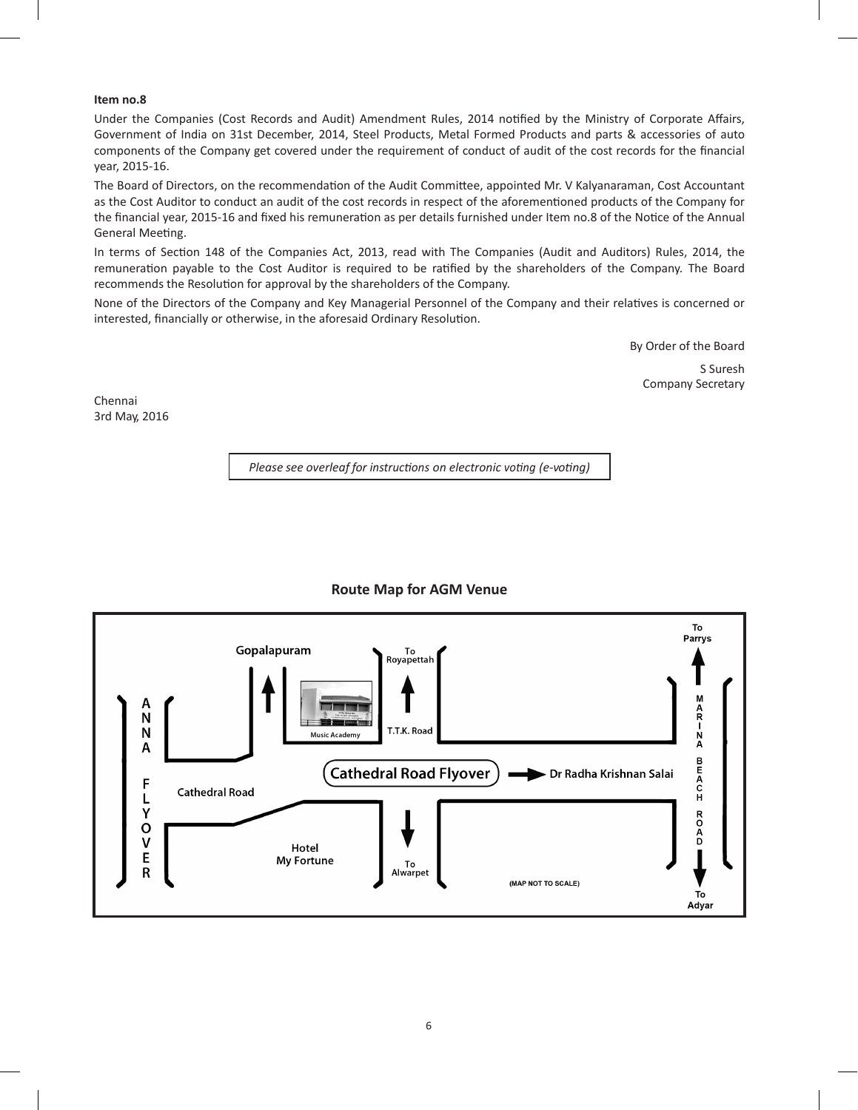## **Item no.8**

Under the Companies (Cost Records and Audit) Amendment Rules, 2014 notified by the Ministry of Corporate Affairs, Government of India on 31st December, 2014, Steel Products, Metal Formed Products and parts & accessories of auto components of the Company get covered under the requirement of conduct of audit of the cost records for the financial year, 2015-16.

The Board of Directors, on the recommendation of the Audit Committee, appointed Mr. V Kalyanaraman, Cost Accountant as the Cost Auditor to conduct an audit of the cost records in respect of the aforementioned products of the Company for the financial year, 2015-16 and fixed his remuneration as per details furnished under Item no.8 of the Notice of the Annual General Meeting.

In terms of Section 148 of the Companies Act, 2013, read with The Companies (Audit and Auditors) Rules, 2014, the remuneration payable to the Cost Auditor is required to be ratified by the shareholders of the Company. The Board recommends the Resolution for approval by the shareholders of the Company.

None of the Directors of the Company and Key Managerial Personnel of the Company and their relatives is concerned or interested, financially or otherwise, in the aforesaid Ordinary Resolution.

By Order of the Board

S Suresh Company Secretary

Chennai 3rd May, 2016

*Please see overleaf for instructions on electronic voting (e-voting)*



## **Route Map for AGM Venue**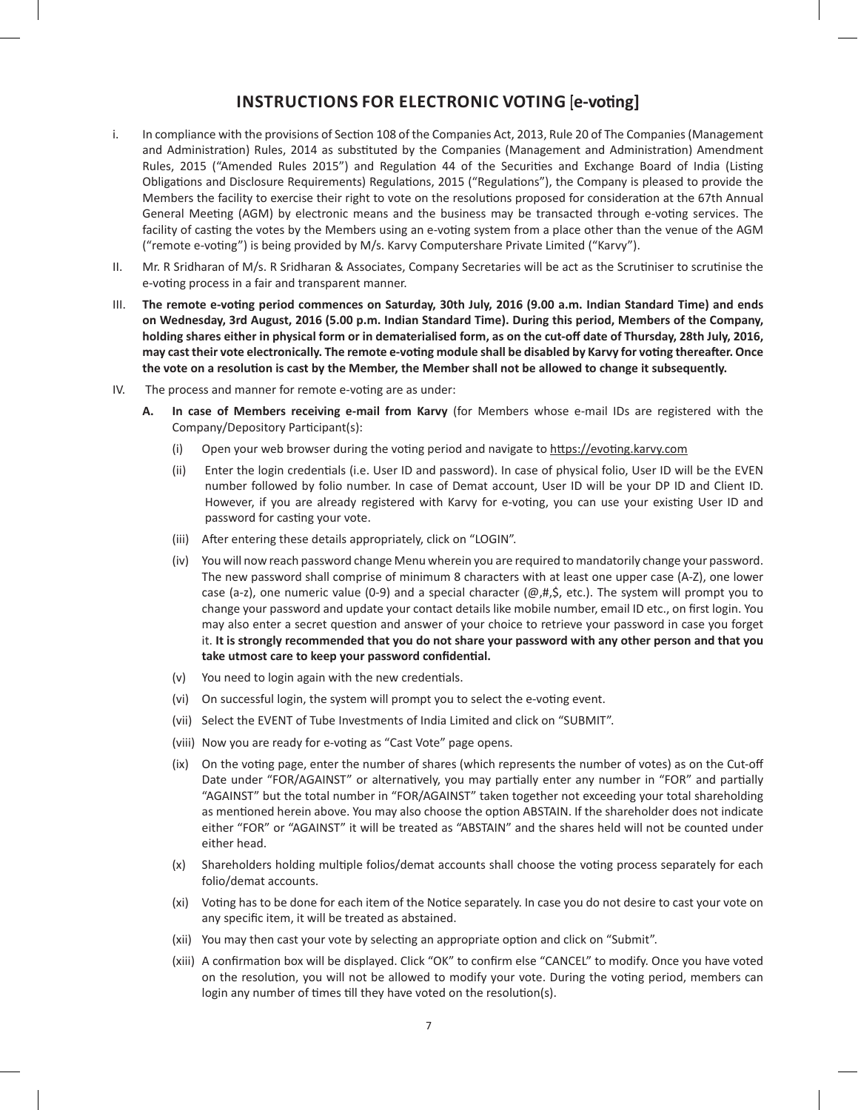# **INSTRUCTIONS FOR ELECTRONIC VOTING [e-voting]**

- i. In compliance with the provisions of Section 108 of the Companies Act, 2013, Rule 20 of The Companies (Management and Administration) Rules, 2014 as substituted by the Companies (Management and Administration) Amendment Rules, 2015 ("Amended Rules 2015") and Regulation 44 of the Securities and Exchange Board of India (Listing Obligations and Disclosure Requirements) Regulations, 2015 ("Regulations"), the Company is pleased to provide the Members the facility to exercise their right to vote on the resolutions proposed for consideration at the 67th Annual General Meeting (AGM) by electronic means and the business may be transacted through e-voting services. The facility of casting the votes by the Members using an e-voting system from a place other than the venue of the AGM ("remote e-voting") is being provided by M/s. Karvy Computershare Private Limited ("Karvy").
- II. Mr. R Sridharan of M/s. R Sridharan & Associates, Company Secretaries will be act as the Scrutiniser to scrutinise the e-voting process in a fair and transparent manner.
- III. The remote e-voting period commences on Saturday, 30th July, 2016 (9.00 a.m. Indian Standard Time) and ends on Wednesday, 3rd August, 2016 (5.00 p.m. Indian Standard Time). During this period, Members of the Company, holding shares either in physical form or in dematerialised form, as on the cut-off date of Thursday, 28th July, 2016, may cast their vote electronically. The remote e-voting module shall be disabled by Karvy for voting thereafter. Once the vote on a resolution is cast by the Member, the Member shall not be allowed to change it subsequently.
- IV. The process and manner for remote e-voting are as under:
	- **A. In case of Members receiving e-mail from Karvy** (for Members whose e-mail IDs are registered with the Company/Depository Participant(s):
		- (i) Open your web browser during the voting period and navigate to https://evoting.karvy.com
		- (ii) Enter the login credentials (i.e. User ID and password). In case of physical folio, User ID will be the EVEN number followed by folio number. In case of Demat account, User ID will be your DP ID and Client ID. However, if you are already registered with Karvy for e-voting, you can use your existing User ID and password for casting your vote.
		- (iii) After entering these details appropriately, click on "LOGIN".
		- (iv) You will now reach password change Menu wherein you are required to mandatorily change your password. The new password shall comprise of minimum 8 characters with at least one upper case (A-Z), one lower case (a-z), one numeric value (0-9) and a special character ( $@, #,$ \$, etc.). The system will prompt you to change your password and update your contact details like mobile number, email ID etc., on first login. You may also enter a secret question and answer of your choice to retrieve your password in case you forget it. It is strongly recommended that you do not share your password with any other person and that you **take utmost care to keep your password confidential.**
		- (v) You need to login again with the new credentials.
		- (vi) On successful login, the system will prompt you to select the e-voting event.
		- (vii) Select the EVENT of Tube Investments of India Limited and click on "SUBMIT".
		- (viii) Now you are ready for e-voting as "Cast Vote" page opens.
		- (ix) On the voting page, enter the number of shares (which represents the number of votes) as on the Cut-off Date under "FOR/AGAINST" or alternatively, you may partially enter any number in "FOR" and partially "AGAINST" but the total number in "FOR/AGAINST" taken together not exceeding your total shareholding as mentioned herein above. You may also choose the option ABSTAIN. If the shareholder does not indicate either "FOR" or "AGAINST" it will be treated as "ABSTAIN" and the shares held will not be counted under either head.
		- (x) Shareholders holding multiple folios/demat accounts shall choose the voting process separately for each folio/demat accounts.
		- (xi) Voting has to be done for each item of the Notice separately. In case you do not desire to cast your vote on any specific item, it will be treated as abstained.
		- (xii) You may then cast your vote by selecting an appropriate option and click on "Submit".
		- (xiii) A confirmation box will be displayed. Click "OK" to confirm else "CANCEL" to modify. Once you have voted on the resolution, you will not be allowed to modify your vote. During the voting period, members can login any number of times till they have voted on the resolution(s).